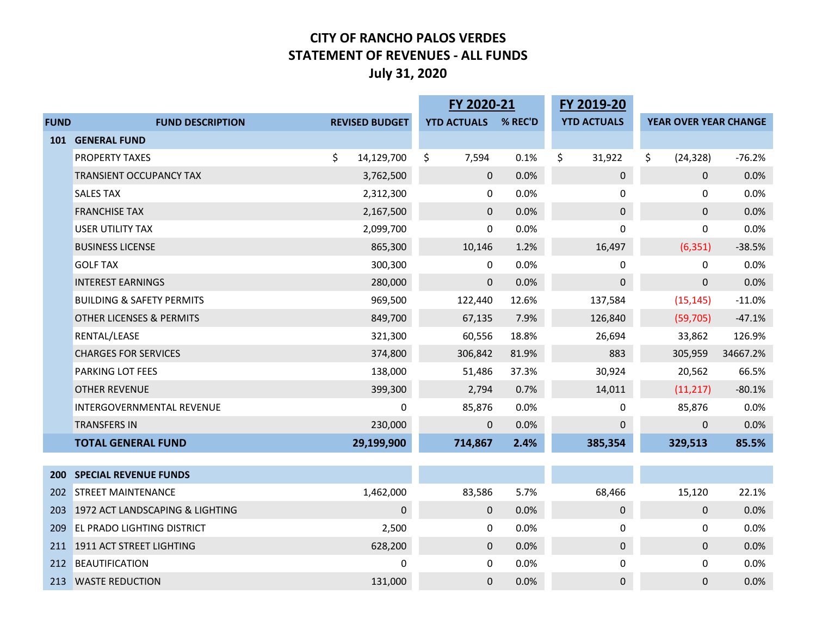#### **CITY OF RANCHO PALOS VERDES STATEMENT OF REVENUES ‐ ALL FUNDS July 31, 2020**

|             |                                      |    | FY 2020-21            |                    | FY 2019-20 |                    |                       |          |
|-------------|--------------------------------------|----|-----------------------|--------------------|------------|--------------------|-----------------------|----------|
| <b>FUND</b> | <b>FUND DESCRIPTION</b>              |    | <b>REVISED BUDGET</b> | <b>YTD ACTUALS</b> | % REC'D    | <b>YTD ACTUALS</b> | YEAR OVER YEAR CHANGE |          |
| <b>101</b>  | <b>GENERAL FUND</b>                  |    |                       |                    |            |                    |                       |          |
|             | PROPERTY TAXES                       | \$ | 14,129,700            | \$<br>7,594        | 0.1%       | \$<br>31,922       | \$<br>(24, 328)       | $-76.2%$ |
|             | TRANSIENT OCCUPANCY TAX              |    | 3,762,500             | $\mathbf{0}$       | 0.0%       | $\pmb{0}$          | $\mathbf 0$           | 0.0%     |
|             | <b>SALES TAX</b>                     |    | 2,312,300             | $\mathbf 0$        | 0.0%       | 0                  | 0                     | 0.0%     |
|             | <b>FRANCHISE TAX</b>                 |    | 2,167,500             | $\mathbf 0$        | 0.0%       | $\pmb{0}$          | $\mathbf 0$           | 0.0%     |
|             | <b>USER UTILITY TAX</b>              |    | 2,099,700             | 0                  | 0.0%       | $\mathbf 0$        | 0                     | 0.0%     |
|             | <b>BUSINESS LICENSE</b>              |    | 865,300               | 10,146             | 1.2%       | 16,497             | (6, 351)              | $-38.5%$ |
|             | <b>GOLF TAX</b>                      |    | 300,300               | $\mathbf{0}$       | 0.0%       | 0                  | 0                     | 0.0%     |
|             | <b>INTEREST EARNINGS</b>             |    | 280,000               | $\pmb{0}$          | 0.0%       | $\pmb{0}$          | $\mathbf 0$           | 0.0%     |
|             | <b>BUILDING &amp; SAFETY PERMITS</b> |    | 969,500               | 122,440            | 12.6%      | 137,584            | (15, 145)             | $-11.0%$ |
|             | <b>OTHER LICENSES &amp; PERMITS</b>  |    | 849,700               | 67,135             | 7.9%       | 126,840            | (59, 705)             | $-47.1%$ |
|             | RENTAL/LEASE                         |    | 321,300               | 60,556             | 18.8%      | 26,694             | 33,862                | 126.9%   |
|             | <b>CHARGES FOR SERVICES</b>          |    | 374,800               | 306,842            | 81.9%      | 883                | 305,959               | 34667.2% |
|             | <b>PARKING LOT FEES</b>              |    | 138,000               | 51,486             | 37.3%      | 30,924             | 20,562                | 66.5%    |
|             | <b>OTHER REVENUE</b>                 |    | 399,300               | 2,794              | 0.7%       | 14,011             | (11, 217)             | $-80.1%$ |
|             | INTERGOVERNMENTAL REVENUE            |    | 0                     | 85,876             | 0.0%       | 0                  | 85,876                | 0.0%     |
|             | <b>TRANSFERS IN</b>                  |    | 230,000               | $\pmb{0}$          | 0.0%       | 0                  | $\mathbf 0$           | 0.0%     |
|             | <b>TOTAL GENERAL FUND</b>            |    | 29,199,900            | 714,867            | 2.4%       | 385,354            | 329,513               | 85.5%    |
|             |                                      |    |                       |                    |            |                    |                       |          |
| <b>200</b>  | <b>SPECIAL REVENUE FUNDS</b>         |    |                       |                    |            |                    |                       |          |
| 202         | <b>STREET MAINTENANCE</b>            |    | 1,462,000             | 83,586             | 5.7%       | 68,466             | 15,120                | 22.1%    |
| 203         | 1972 ACT LANDSCAPING & LIGHTING      |    | 0                     | $\pmb{0}$          | 0.0%       | $\pmb{0}$          | $\mathbf 0$           | 0.0%     |
| 209         | <b>EL PRADO LIGHTING DISTRICT</b>    |    | 2,500                 | $\pmb{0}$          | 0.0%       | 0                  | 0                     | 0.0%     |
|             | 211 1911 ACT STREET LIGHTING         |    | 628,200               | $\mathbf 0$        | 0.0%       | $\pmb{0}$          | $\mathbf{0}$          | 0.0%     |
| 212         | <b>BEAUTIFICATION</b>                |    | 0                     | 0                  | 0.0%       | 0                  | 0                     | 0.0%     |
|             | 213 WASTE REDUCTION                  |    | 131,000               | $\mathbf{0}$       | 0.0%       | $\mathbf 0$        | $\mathbf 0$           | 0.0%     |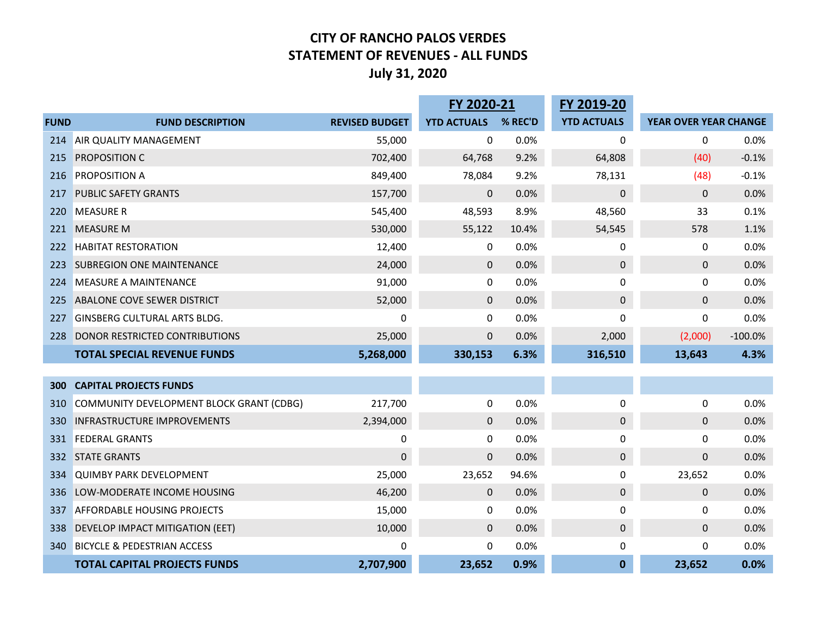#### **CITY OF RANCHO PALOS VERDES STATEMENT OF REVENUES ‐ ALL FUNDS July 31, 2020**

|             |                                          |                       | FY 2020-21         |         | FY 2019-20         |                       |           |
|-------------|------------------------------------------|-----------------------|--------------------|---------|--------------------|-----------------------|-----------|
| <b>FUND</b> | <b>FUND DESCRIPTION</b>                  | <b>REVISED BUDGET</b> | <b>YTD ACTUALS</b> | % REC'D | <b>YTD ACTUALS</b> | YEAR OVER YEAR CHANGE |           |
| 214         | AIR QUALITY MANAGEMENT                   | 55,000                | 0                  | 0.0%    | 0                  | 0                     | 0.0%      |
| 215         | PROPOSITION C                            | 702,400               | 64,768             | 9.2%    | 64,808             | (40)                  | $-0.1%$   |
| 216         | PROPOSITION A                            | 849,400               | 78,084             | 9.2%    | 78,131             | (48)                  | $-0.1%$   |
| 217         | <b>PUBLIC SAFETY GRANTS</b>              | 157,700               | $\mathbf 0$        | 0.0%    | $\pmb{0}$          | 0                     | 0.0%      |
| 220         | <b>MEASURE R</b>                         | 545,400               | 48,593             | 8.9%    | 48,560             | 33                    | 0.1%      |
| 221         | <b>MEASURE M</b>                         | 530,000               | 55,122             | 10.4%   | 54,545             | 578                   | 1.1%      |
| 222         | <b>HABITAT RESTORATION</b>               | 12,400                | $\boldsymbol{0}$   | 0.0%    | 0                  | 0                     | 0.0%      |
| 223         | <b>SUBREGION ONE MAINTENANCE</b>         | 24,000                | $\mathbf 0$        | 0.0%    | $\pmb{0}$          | $\mathbf{0}$          | 0.0%      |
| 224         | <b>MEASURE A MAINTENANCE</b>             | 91,000                | 0                  | 0.0%    | 0                  | 0                     | 0.0%      |
| 225         | ABALONE COVE SEWER DISTRICT              | 52,000                | $\mathbf 0$        | 0.0%    | $\pmb{0}$          | $\mathbf{0}$          | 0.0%      |
| 227         | <b>GINSBERG CULTURAL ARTS BLDG.</b>      | 0                     | 0                  | 0.0%    | $\mathbf 0$        | 0                     | 0.0%      |
| 228         | DONOR RESTRICTED CONTRIBUTIONS           | 25,000                | $\mathbf 0$        | 0.0%    | 2,000              | (2,000)               | $-100.0%$ |
|             | <b>TOTAL SPECIAL REVENUE FUNDS</b>       | 5,268,000             | 330,153            | 6.3%    | 316,510            | 13,643                | 4.3%      |
|             |                                          |                       |                    |         |                    |                       |           |
| 300         | <b>CAPITAL PROJECTS FUNDS</b>            |                       |                    |         |                    |                       |           |
| 310         | COMMUNITY DEVELOPMENT BLOCK GRANT (CDBG) | 217,700               | 0                  | 0.0%    | 0                  | 0                     | 0.0%      |
| 330         | <b>INFRASTRUCTURE IMPROVEMENTS</b>       | 2,394,000             | $\mathbf 0$        | 0.0%    | $\pmb{0}$          | 0                     | 0.0%      |
| 331         | <b>FEDERAL GRANTS</b>                    | 0                     | 0                  | 0.0%    | $\pmb{0}$          | 0                     | 0.0%      |
| 332         | <b>STATE GRANTS</b>                      | $\mathbf 0$           | $\boldsymbol{0}$   | 0.0%    | $\pmb{0}$          | 0                     | 0.0%      |
| 334         | <b>QUIMBY PARK DEVELOPMENT</b>           | 25,000                | 23,652             | 94.6%   | 0                  | 23,652                | 0.0%      |
| 336         | LOW-MODERATE INCOME HOUSING              | 46,200                | $\mathbf 0$        | 0.0%    | $\pmb{0}$          | $\mathbf 0$           | 0.0%      |
| 337         | AFFORDABLE HOUSING PROJECTS              | 15,000                | 0                  | 0.0%    | 0                  | 0                     | 0.0%      |
| 338         | DEVELOP IMPACT MITIGATION (EET)          | 10,000                | $\mathbf 0$        | 0.0%    | $\pmb{0}$          | 0                     | 0.0%      |
| 340         | <b>BICYCLE &amp; PEDESTRIAN ACCESS</b>   | 0                     | 0                  | 0.0%    | 0                  | 0                     | 0.0%      |
|             | <b>TOTAL CAPITAL PROJECTS FUNDS</b>      | 2,707,900             | 23,652             | 0.9%    | $\mathbf{0}$       | 23,652                | 0.0%      |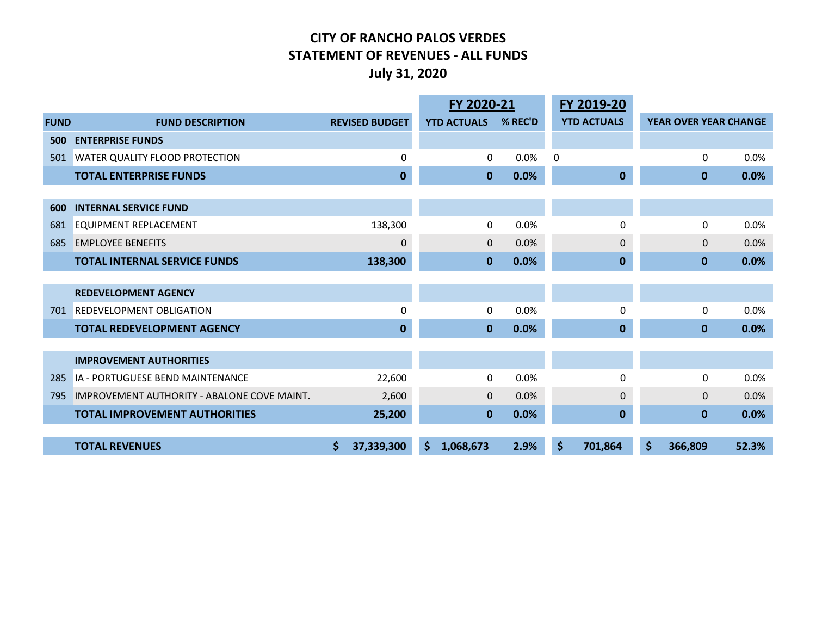#### **CITY OF RANCHO PALOS VERDES STATEMENT OF REVENUES ‐ ALL FUNDS July 31, 2020**

|             |                                                    |   |                       | FY 2020-21         |              |         |    | FY 2019-20         |                       |       |
|-------------|----------------------------------------------------|---|-----------------------|--------------------|--------------|---------|----|--------------------|-----------------------|-------|
| <b>FUND</b> | <b>FUND DESCRIPTION</b>                            |   | <b>REVISED BUDGET</b> | <b>YTD ACTUALS</b> |              | % REC'D |    | <b>YTD ACTUALS</b> | YEAR OVER YEAR CHANGE |       |
| 500         | <b>ENTERPRISE FUNDS</b>                            |   |                       |                    |              |         |    |                    |                       |       |
| 501         | <b>WATER QUALITY FLOOD PROTECTION</b>              |   | 0                     |                    | 0            | 0.0%    | 0  |                    | 0                     | 0.0%  |
|             | <b>TOTAL ENTERPRISE FUNDS</b>                      |   | $\mathbf 0$           | $\mathbf{0}$       |              | 0.0%    |    | $\bf{0}$           | $\mathbf{0}$          | 0.0%  |
|             |                                                    |   |                       |                    |              |         |    |                    |                       |       |
| 600         | <b>INTERNAL SERVICE FUND</b>                       |   |                       |                    |              |         |    |                    |                       |       |
| 681         | <b>EQUIPMENT REPLACEMENT</b>                       |   | 138,300               |                    | 0            | 0.0%    |    | 0                  | 0                     | 0.0%  |
| 685         | <b>EMPLOYEE BENEFITS</b>                           |   | $\mathbf 0$           |                    | $\mathbf{0}$ | 0.0%    |    | $\mathbf{0}$       | $\Omega$              | 0.0%  |
|             | <b>TOTAL INTERNAL SERVICE FUNDS</b>                |   | 138,300               | $\mathbf{0}$       |              | 0.0%    |    | $\mathbf{0}$       | $\mathbf{0}$          | 0.0%  |
|             |                                                    |   |                       |                    |              |         |    |                    |                       |       |
|             | <b>REDEVELOPMENT AGENCY</b>                        |   |                       |                    |              |         |    |                    |                       |       |
| 701         | <b>REDEVELOPMENT OBLIGATION</b>                    |   | $\Omega$              |                    | 0            | 0.0%    |    | $\Omega$           | 0                     | 0.0%  |
|             | <b>TOTAL REDEVELOPMENT AGENCY</b>                  |   | $\mathbf 0$           | $\mathbf{0}$       |              | 0.0%    |    | $\mathbf 0$        | $\mathbf{0}$          | 0.0%  |
|             |                                                    |   |                       |                    |              |         |    |                    |                       |       |
|             | <b>IMPROVEMENT AUTHORITIES</b>                     |   |                       |                    |              |         |    |                    |                       |       |
| 285         | IA - PORTUGUESE BEND MAINTENANCE                   |   | 22,600                |                    | 0            | 0.0%    |    | 0                  | $\Omega$              | 0.0%  |
| 795         | <b>IMPROVEMENT AUTHORITY - ABALONE COVE MAINT.</b> |   | 2,600                 |                    | $\mathbf{0}$ | 0.0%    |    | $\Omega$           | $\Omega$              | 0.0%  |
|             | <b>TOTAL IMPROVEMENT AUTHORITIES</b>               |   | 25,200                |                    | $\mathbf{0}$ | 0.0%    |    | $\mathbf 0$        | $\mathbf{0}$          | 0.0%  |
|             |                                                    |   |                       |                    |              |         |    |                    |                       |       |
|             | <b>TOTAL REVENUES</b>                              | Ś | 37,339,300            | \$<br>1,068,673    |              | 2.9%    | \$ | 701,864            | \$<br>366,809         | 52.3% |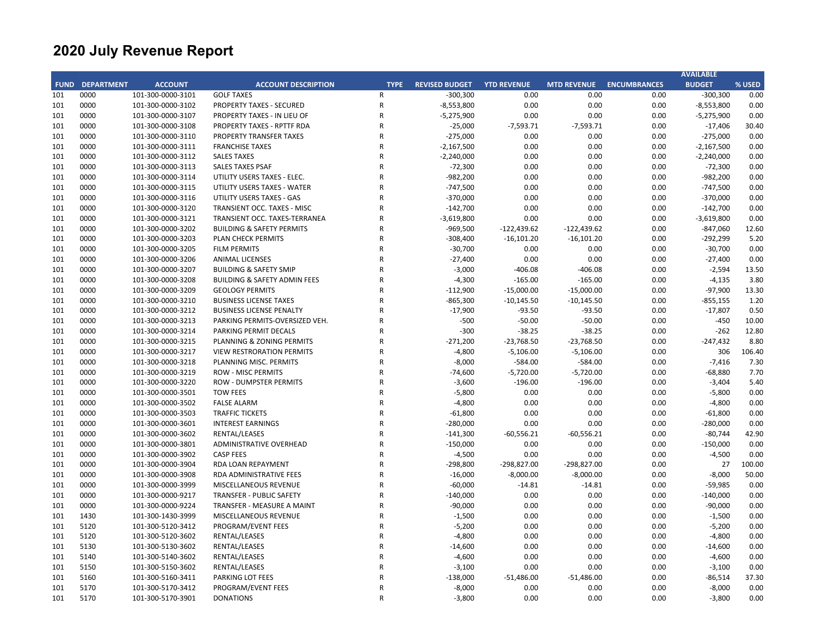|     |                        |                   |                                         |                |                       |                    |                    |                     | <b>AVAILABLE</b> |        |
|-----|------------------------|-------------------|-----------------------------------------|----------------|-----------------------|--------------------|--------------------|---------------------|------------------|--------|
|     | <b>FUND DEPARTMENT</b> | <b>ACCOUNT</b>    | <b>ACCOUNT DESCRIPTION</b>              | <b>TYPE</b>    | <b>REVISED BUDGET</b> | <b>YTD REVENUE</b> | <b>MTD REVENUE</b> | <b>ENCUMBRANCES</b> | <b>BUDGET</b>    | % USED |
| 101 | 0000                   | 101-300-0000-3101 | <b>GOLF TAXES</b>                       | $\mathsf{R}$   | $-300,300$            | 0.00               | 0.00               | 0.00                | $-300,300$       | 0.00   |
| 101 | 0000                   | 101-300-0000-3102 | <b>PROPERTY TAXES - SECURED</b>         | ${\sf R}$      | $-8,553,800$          | 0.00               | 0.00               | 0.00                | $-8,553,800$     | 0.00   |
| 101 | 0000                   | 101-300-0000-3107 | PROPERTY TAXES - IN LIEU OF             | ${\sf R}$      | $-5,275,900$          | 0.00               | 0.00               | 0.00                | $-5,275,900$     | 0.00   |
| 101 | 0000                   | 101-300-0000-3108 | PROPERTY TAXES - RPTTF RDA              | ${\sf R}$      | $-25,000$             | $-7,593.71$        | $-7,593.71$        | 0.00                | $-17,406$        | 30.40  |
| 101 | 0000                   | 101-300-0000-3110 | PROPERTY TRANSFER TAXES                 | $\overline{R}$ | $-275,000$            | 0.00               | 0.00               | 0.00                | $-275,000$       | 0.00   |
| 101 | 0000                   | 101-300-0000-3111 | <b>FRANCHISE TAXES</b>                  | $\mathsf{R}$   | $-2,167,500$          | 0.00               | 0.00               | 0.00                | $-2,167,500$     | 0.00   |
| 101 | 0000                   | 101-300-0000-3112 | <b>SALES TAXES</b>                      | $\mathsf{R}$   | $-2,240,000$          | 0.00               | 0.00               | 0.00                | $-2,240,000$     | 0.00   |
| 101 | 0000                   | 101-300-0000-3113 | <b>SALES TAXES PSAF</b>                 | $\mathsf{R}$   | $-72,300$             | 0.00               | 0.00               | 0.00                | $-72,300$        | 0.00   |
| 101 | 0000                   | 101-300-0000-3114 | UTILITY USERS TAXES - ELEC.             | $\mathsf{R}$   | $-982,200$            | 0.00               | 0.00               | 0.00                | $-982,200$       | 0.00   |
| 101 | 0000                   | 101-300-0000-3115 | UTILITY USERS TAXES - WATER             | $\mathsf{R}$   | $-747,500$            | 0.00               | 0.00               | 0.00                | $-747,500$       | 0.00   |
| 101 | 0000                   | 101-300-0000-3116 | UTILITY USERS TAXES - GAS               | $\mathsf{R}$   | $-370,000$            | 0.00               | 0.00               | 0.00                | $-370,000$       | 0.00   |
| 101 | 0000                   | 101-300-0000-3120 | TRANSIENT OCC. TAXES - MISC             | $\mathsf{R}$   | $-142,700$            | 0.00               | 0.00               | 0.00                | $-142,700$       | 0.00   |
| 101 | 0000                   | 101-300-0000-3121 | TRANSIENT OCC. TAXES-TERRANEA           | $\mathsf{R}$   | $-3,619,800$          | 0.00               | 0.00               | 0.00                | $-3,619,800$     | 0.00   |
| 101 | 0000                   | 101-300-0000-3202 | <b>BUILDING &amp; SAFETY PERMITS</b>    | $\mathsf{R}$   | $-969,500$            | $-122,439.62$      | $-122,439.62$      | 0.00                | $-847,060$       | 12.60  |
| 101 | 0000                   | 101-300-0000-3203 | PLAN CHECK PERMITS                      | $\overline{R}$ | $-308,400$            | $-16,101.20$       | $-16,101.20$       | 0.00                | -292,299         | 5.20   |
| 101 | 0000                   | 101-300-0000-3205 | <b>FILM PERMITS</b>                     | $\mathsf{R}$   | $-30,700$             | 0.00               | 0.00               | 0.00                | $-30,700$        | 0.00   |
| 101 | 0000                   | 101-300-0000-3206 | <b>ANIMAL LICENSES</b>                  | $\mathsf{R}$   | $-27,400$             | 0.00               | 0.00               | 0.00                | $-27,400$        | 0.00   |
| 101 | 0000                   | 101-300-0000-3207 | <b>BUILDING &amp; SAFETY SMIP</b>       | $\mathsf{R}$   | $-3,000$              | $-406.08$          | $-406.08$          | 0.00                | $-2,594$         | 13.50  |
| 101 | 0000                   | 101-300-0000-3208 | <b>BUILDING &amp; SAFETY ADMIN FEES</b> | $\mathsf{R}$   | $-4,300$              | $-165.00$          | $-165.00$          | 0.00                | $-4,135$         | 3.80   |
| 101 | 0000                   | 101-300-0000-3209 | <b>GEOLOGY PERMITS</b>                  | $\mathsf{R}$   | $-112,900$            | $-15,000.00$       | $-15,000.00$       | 0.00                | $-97,900$        | 13.30  |
| 101 | 0000                   | 101-300-0000-3210 | <b>BUSINESS LICENSE TAXES</b>           | $\mathsf{R}$   | $-865,300$            | $-10,145.50$       | $-10,145.50$       | 0.00                | $-855,155$       | 1.20   |
| 101 | 0000                   | 101-300-0000-3212 | <b>BUSINESS LICENSE PENALTY</b>         | $\mathsf{R}$   | $-17,900$             | $-93.50$           | $-93.50$           | 0.00                | $-17,807$        | 0.50   |
| 101 | 0000                   | 101-300-0000-3213 | PARKING PERMITS-OVERSIZED VEH.          | $\mathsf{R}$   | $-500$                | $-50.00$           | $-50.00$           | 0.00                | $-450$           | 10.00  |
| 101 | 0000                   | 101-300-0000-3214 | PARKING PERMIT DECALS                   | $\mathsf{R}$   | $-300$                | $-38.25$           | $-38.25$           | 0.00                | $-262$           | 12.80  |
| 101 | 0000                   | 101-300-0000-3215 | PLANNING & ZONING PERMITS               | $\mathsf{R}$   | $-271,200$            | $-23,768.50$       | $-23,768.50$       | 0.00                | $-247,432$       | 8.80   |
| 101 | 0000                   | 101-300-0000-3217 | <b>VIEW RESTRORATION PERMITS</b>        | ${\sf R}$      | $-4,800$              | $-5,106.00$        | $-5,106.00$        | 0.00                | 306              | 106.40 |
| 101 | 0000                   | 101-300-0000-3218 | PLANNING MISC. PERMITS                  | $\mathsf{R}$   | $-8,000$              | $-584.00$          | $-584.00$          | 0.00                | $-7,416$         | 7.30   |
| 101 | 0000                   | 101-300-0000-3219 | <b>ROW - MISC PERMITS</b>               | $\mathsf{R}$   | $-74,600$             | $-5,720.00$        | $-5,720.00$        | 0.00                | $-68,880$        | 7.70   |
| 101 | 0000                   | 101-300-0000-3220 | <b>ROW - DUMPSTER PERMITS</b>           | $\mathsf{R}$   | $-3,600$              | $-196.00$          | $-196.00$          | 0.00                | $-3,404$         | 5.40   |
| 101 | 0000                   | 101-300-0000-3501 | <b>TOW FEES</b>                         | $\mathsf{R}$   | $-5,800$              | 0.00               | 0.00               | 0.00                | $-5,800$         | 0.00   |
| 101 | 0000                   | 101-300-0000-3502 | <b>FALSE ALARM</b>                      | $\mathsf{R}$   | $-4,800$              | 0.00               | 0.00               | 0.00                | $-4,800$         | 0.00   |
| 101 | 0000                   |                   | <b>TRAFFIC TICKETS</b>                  | $\mathsf{R}$   | $-61,800$             | 0.00               | 0.00               |                     | $-61,800$        | 0.00   |
|     |                        | 101-300-0000-3503 |                                         | $\mathsf{R}$   |                       |                    |                    | 0.00                |                  |        |
| 101 | 0000<br>0000           | 101-300-0000-3601 | <b>INTEREST EARNINGS</b>                | $\mathsf{R}$   | $-280,000$            | 0.00               | 0.00               | 0.00                | $-280,000$       | 0.00   |
| 101 |                        | 101-300-0000-3602 | RENTAL/LEASES                           | $\mathsf{R}$   | $-141,300$            | $-60,556.21$       | $-60,556.21$       | 0.00                | $-80,744$        | 42.90  |
| 101 | 0000                   | 101-300-0000-3801 | ADMINISTRATIVE OVERHEAD                 |                | $-150,000$            | 0.00               | 0.00               | 0.00                | $-150,000$       | 0.00   |
| 101 | 0000                   | 101-300-0000-3902 | <b>CASP FEES</b>                        | $\mathsf{R}$   | $-4,500$              | 0.00               | 0.00               | 0.00                | $-4,500$         | 0.00   |
| 101 | 0000                   | 101-300-0000-3904 | RDA LOAN REPAYMENT                      | $\mathsf{R}$   | $-298,800$            | $-298,827.00$      | $-298,827.00$      | 0.00                | 27               | 100.00 |
| 101 | 0000                   | 101-300-0000-3908 | <b>RDA ADMINISTRATIVE FEES</b>          | $\mathsf{R}$   | $-16,000$             | $-8,000.00$        | $-8,000.00$        | 0.00                | $-8,000$         | 50.00  |
| 101 | 0000                   | 101-300-0000-3999 | MISCELLANEOUS REVENUE                   | $\mathsf{R}$   | $-60,000$             | $-14.81$           | $-14.81$           | 0.00                | $-59,985$        | 0.00   |
| 101 | 0000                   | 101-300-0000-9217 | <b>TRANSFER - PUBLIC SAFETY</b>         | $\mathsf{R}$   | $-140,000$            | 0.00               | 0.00               | 0.00                | $-140,000$       | 0.00   |
| 101 | 0000                   | 101-300-0000-9224 | TRANSFER - MEASURE A MAINT              | $\mathsf{R}$   | $-90,000$             | 0.00               | 0.00               | 0.00                | $-90,000$        | 0.00   |
| 101 | 1430                   | 101-300-1430-3999 | MISCELLANEOUS REVENUE                   | $\mathsf{R}$   | $-1,500$              | 0.00               | 0.00               | 0.00                | $-1,500$         | 0.00   |
| 101 | 5120                   | 101-300-5120-3412 | PROGRAM/EVENT FEES                      | $\mathsf{R}$   | $-5,200$              | 0.00               | 0.00               | 0.00                | $-5,200$         | 0.00   |
| 101 | 5120                   | 101-300-5120-3602 | RENTAL/LEASES                           | $\mathsf{R}$   | $-4,800$              | 0.00               | 0.00               | 0.00                | $-4,800$         | 0.00   |
| 101 | 5130                   | 101-300-5130-3602 | RENTAL/LEASES                           | $\mathsf{R}$   | $-14,600$             | 0.00               | 0.00               | 0.00                | $-14,600$        | 0.00   |
| 101 | 5140                   | 101-300-5140-3602 | RENTAL/LEASES                           | $\mathsf{R}$   | $-4,600$              | 0.00               | 0.00               | 0.00                | $-4,600$         | 0.00   |
| 101 | 5150                   | 101-300-5150-3602 | RENTAL/LEASES                           | $\mathsf{R}$   | $-3,100$              | 0.00               | 0.00               | 0.00                | $-3,100$         | 0.00   |
| 101 | 5160                   | 101-300-5160-3411 | PARKING LOT FEES                        | $\mathsf{R}$   | $-138,000$            | $-51,486.00$       | $-51,486.00$       | 0.00                | $-86,514$        | 37.30  |
| 101 | 5170                   | 101-300-5170-3412 | PROGRAM/EVENT FEES                      | $\mathsf{R}$   | $-8,000$              | 0.00               | 0.00               | 0.00                | $-8,000$         | 0.00   |
| 101 | 5170                   | 101-300-5170-3901 | <b>DONATIONS</b>                        | $\mathsf{R}$   | $-3,800$              | 0.00               | 0.00               | 0.00                | $-3,800$         | 0.00   |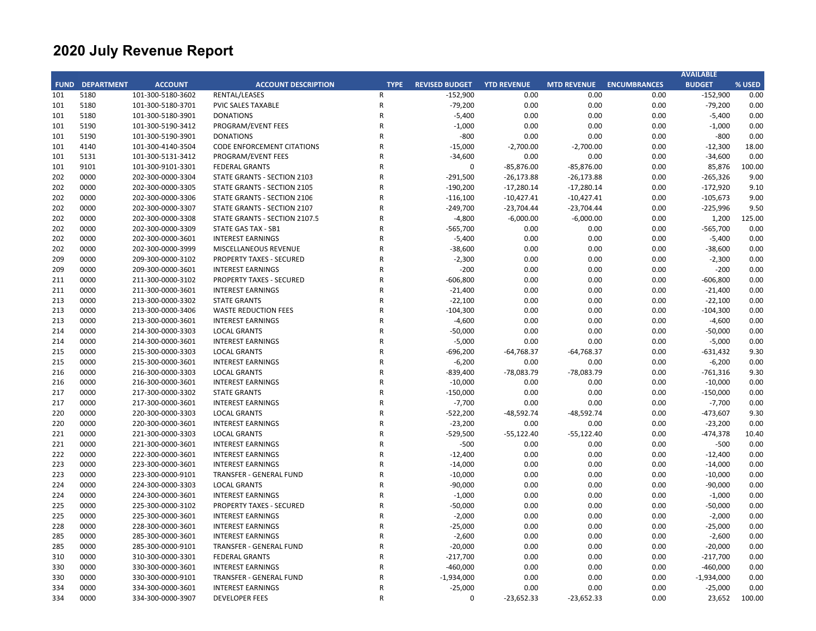|            |                        |                   |                                   |                |                       |                    |                    |                     | <b>AVAILABLE</b> |        |
|------------|------------------------|-------------------|-----------------------------------|----------------|-----------------------|--------------------|--------------------|---------------------|------------------|--------|
|            | <b>FUND DEPARTMENT</b> | <b>ACCOUNT</b>    | <b>ACCOUNT DESCRIPTION</b>        | <b>TYPE</b>    | <b>REVISED BUDGET</b> | <b>YTD REVENUE</b> | <b>MTD REVENUE</b> | <b>ENCUMBRANCES</b> | <b>BUDGET</b>    | % USED |
| 101        | 5180                   | 101-300-5180-3602 | RENTAL/LEASES                     | R              | $-152,900$            | 0.00               | 0.00               | 0.00                | $-152,900$       | 0.00   |
| 101        | 5180                   | 101-300-5180-3701 | PVIC SALES TAXABLE                | ${\sf R}$      | $-79,200$             | 0.00               | 0.00               | 0.00                | $-79,200$        | 0.00   |
| 101        | 5180                   | 101-300-5180-3901 | <b>DONATIONS</b>                  | ${\sf R}$      | $-5,400$              | 0.00               | 0.00               | 0.00                | $-5,400$         | 0.00   |
| 101        | 5190                   | 101-300-5190-3412 | PROGRAM/EVENT FEES                | $\mathsf{R}$   | $-1,000$              | 0.00               | 0.00               | 0.00                | $-1,000$         | 0.00   |
| 101        | 5190                   | 101-300-5190-3901 | <b>DONATIONS</b>                  | $\mathsf{R}$   | $-800$                | 0.00               | 0.00               | 0.00                | $-800$           | 0.00   |
| 101        | 4140                   | 101-300-4140-3504 | <b>CODE ENFORCEMENT CITATIONS</b> | ${\sf R}$      | $-15,000$             | $-2,700.00$        | $-2,700.00$        | 0.00                | $-12,300$        | 18.00  |
| 101        | 5131                   | 101-300-5131-3412 | PROGRAM/EVENT FEES                | R              | $-34,600$             | 0.00               | 0.00               | 0.00                | $-34,600$        | 0.00   |
| 101        | 9101                   | 101-300-9101-3301 | <b>FEDERAL GRANTS</b>             | ${\sf R}$      | 0                     | $-85,876.00$       | $-85,876.00$       | 0.00                | 85,876           | 100.00 |
| 202        | 0000                   | 202-300-0000-3304 | STATE GRANTS - SECTION 2103       | $\mathsf{R}$   | $-291,500$            | $-26,173.88$       | $-26,173.88$       | 0.00                | $-265,326$       | 9.00   |
| 202        | 0000                   | 202-300-0000-3305 | STATE GRANTS - SECTION 2105       | $\mathsf{R}$   | $-190,200$            | $-17,280.14$       | $-17,280.14$       | 0.00                | $-172,920$       | 9.10   |
| 202        | 0000                   | 202-300-0000-3306 | STATE GRANTS - SECTION 2106       | ${\sf R}$      | $-116,100$            | $-10,427.41$       | $-10,427.41$       | 0.00                | $-105,673$       | 9.00   |
| 202        | 0000                   | 202-300-0000-3307 | STATE GRANTS - SECTION 2107       | ${\sf R}$      | $-249,700$            | $-23,704.44$       | $-23,704.44$       | 0.00                | $-225,996$       | 9.50   |
| 202        | 0000                   | 202-300-0000-3308 | STATE GRANTS - SECTION 2107.5     | R              | $-4,800$              | $-6,000.00$        | $-6,000.00$        | 0.00                | 1,200            | 125.00 |
| 202        | 0000                   | 202-300-0000-3309 | STATE GAS TAX - SB1               | $\mathsf{R}$   | $-565,700$            | 0.00               | 0.00               | 0.00                | $-565,700$       | 0.00   |
| 202        | 0000                   | 202-300-0000-3601 | <b>INTEREST EARNINGS</b>          | $\mathsf{R}$   | $-5,400$              | 0.00               | 0.00               | 0.00                | $-5,400$         | 0.00   |
| 202        | 0000                   | 202-300-0000-3999 | MISCELLANEOUS REVENUE             | $\mathsf{R}$   | $-38,600$             | 0.00               | 0.00               | 0.00                | $-38,600$        | 0.00   |
| 209        | 0000                   | 209-300-0000-3102 | <b>PROPERTY TAXES - SECURED</b>   | R              | $-2,300$              | 0.00               | 0.00               | 0.00                | $-2,300$         | 0.00   |
| 209        | 0000                   | 209-300-0000-3601 | <b>INTEREST EARNINGS</b>          | $\mathsf{R}$   | $-200$                | 0.00               | 0.00               | 0.00                | $-200$           | 0.00   |
| 211        | 0000                   | 211-300-0000-3102 | <b>PROPERTY TAXES - SECURED</b>   | $\mathsf{R}$   | $-606,800$            | 0.00               | 0.00               | 0.00                | $-606,800$       | 0.00   |
| 211        | 0000                   | 211-300-0000-3601 | <b>INTEREST EARNINGS</b>          | ${\sf R}$      | $-21,400$             | 0.00               | 0.00               | 0.00                | $-21,400$        | 0.00   |
| 213        | 0000                   | 213-300-0000-3302 | <b>STATE GRANTS</b>               | R              | $-22,100$             | 0.00               | 0.00               | 0.00                | $-22,100$        | 0.00   |
| 213        | 0000                   | 213-300-0000-3406 | <b>WASTE REDUCTION FEES</b>       | $\mathsf{R}$   | $-104,300$            | 0.00               | 0.00               | 0.00                | $-104,300$       | 0.00   |
| 213        | 0000                   | 213-300-0000-3601 | <b>INTEREST EARNINGS</b>          | ${\sf R}$      | $-4,600$              | 0.00               | 0.00               | 0.00                | $-4,600$         | 0.00   |
| 214        | 0000                   | 214-300-0000-3303 | <b>LOCAL GRANTS</b>               | $\mathsf{R}$   | $-50,000$             | 0.00               | 0.00               | 0.00                | $-50,000$        | 0.00   |
| 214        | 0000                   | 214-300-0000-3601 | <b>INTEREST EARNINGS</b>          | R              | $-5,000$              | 0.00               | 0.00               | 0.00                | $-5,000$         | 0.00   |
| 215        | 0000                   | 215-300-0000-3303 | <b>LOCAL GRANTS</b>               | R              | $-696,200$            | $-64,768.37$       | $-64,768.37$       | 0.00                | $-631,432$       | 9.30   |
| 215        | 0000                   | 215-300-0000-3601 | <b>INTEREST EARNINGS</b>          | $\mathsf{R}$   | $-6,200$              | 0.00               | 0.00               | 0.00                | $-6,200$         | 0.00   |
| 216        | 0000                   | 216-300-0000-3303 | <b>LOCAL GRANTS</b>               | $\mathsf{R}$   | $-839,400$            | $-78,083.79$       | $-78,083.79$       | 0.00                | $-761,316$       | 9.30   |
| 216        | 0000                   | 216-300-0000-3601 | <b>INTEREST EARNINGS</b>          | $\mathsf{R}$   | $-10,000$             | 0.00               | 0.00               | 0.00                | $-10,000$        | 0.00   |
| 217        | 0000                   | 217-300-0000-3302 | <b>STATE GRANTS</b>               | R              | $-150,000$            | 0.00               | 0.00               | 0.00                | $-150,000$       | 0.00   |
| 217        | 0000                   | 217-300-0000-3601 | <b>INTEREST EARNINGS</b>          | ${\sf R}$      | $-7,700$              | 0.00               | 0.00               | 0.00                | $-7,700$         | 0.00   |
| 220        | 0000                   | 220-300-0000-3303 | <b>LOCAL GRANTS</b>               | $\overline{R}$ | $-522,200$            | $-48,592.74$       | $-48,592.74$       | 0.00                | $-473,607$       | 9.30   |
| 220        | 0000                   | 220-300-0000-3601 | <b>INTEREST EARNINGS</b>          | $\mathsf{R}$   | $-23,200$             | 0.00               | 0.00               | 0.00                | $-23,200$        | 0.00   |
| 221        | 0000                   | 221-300-0000-3303 | <b>LOCAL GRANTS</b>               | $\mathsf{R}$   | $-529,500$            | $-55,122.40$       | $-55,122.40$       | 0.00                | $-474,378$       | 10.40  |
| 221        | 0000                   | 221-300-0000-3601 |                                   | R              | $-500$                | 0.00               | 0.00               | 0.00                | $-500$           | 0.00   |
|            | 0000                   |                   | <b>INTEREST EARNINGS</b>          | $\mathsf{R}$   |                       | 0.00               | 0.00               |                     |                  | 0.00   |
| 222<br>223 |                        | 222-300-0000-3601 | <b>INTEREST EARNINGS</b>          | $\mathsf{R}$   | $-12,400$             |                    | 0.00               | 0.00                | $-12,400$        |        |
|            | 0000                   | 223-300-0000-3601 | <b>INTEREST EARNINGS</b>          | $\mathsf{R}$   | $-14,000$             | 0.00               |                    | 0.00                | $-14,000$        | 0.00   |
| 223        | 0000                   | 223-300-0000-9101 | <b>TRANSFER - GENERAL FUND</b>    | $\mathsf{R}$   | $-10,000$             | 0.00               | 0.00               | 0.00                | $-10,000$        | 0.00   |
| 224        | 0000                   | 224-300-0000-3303 | <b>LOCAL GRANTS</b>               |                | $-90,000$             | 0.00               | 0.00               | 0.00                | $-90,000$        | 0.00   |
| 224        | 0000                   | 224-300-0000-3601 | <b>INTEREST EARNINGS</b>          | $\mathsf{R}$   | $-1,000$              | 0.00               | 0.00               | 0.00                | $-1,000$         | 0.00   |
| 225        | 0000                   | 225-300-0000-3102 | <b>PROPERTY TAXES - SECURED</b>   | $\mathsf{R}$   | $-50,000$             | 0.00               | 0.00               | 0.00                | $-50,000$        | 0.00   |
| 225        | 0000                   | 225-300-0000-3601 | <b>INTEREST EARNINGS</b>          | R              | $-2,000$              | 0.00               | 0.00               | 0.00                | $-2,000$         | 0.00   |
| 228        | 0000                   | 228-300-0000-3601 | <b>INTEREST EARNINGS</b>          | $\mathsf{R}$   | $-25,000$             | 0.00               | 0.00               | 0.00                | $-25,000$        | 0.00   |
| 285        | 0000                   | 285-300-0000-3601 | <b>INTEREST EARNINGS</b>          | ${\sf R}$      | $-2,600$              | 0.00               | 0.00               | 0.00                | $-2,600$         | 0.00   |
| 285        | 0000                   | 285-300-0000-9101 | <b>TRANSFER - GENERAL FUND</b>    | $\mathsf{R}$   | $-20,000$             | 0.00               | 0.00               | 0.00                | $-20,000$        | 0.00   |
| 310        | 0000                   | 310-300-0000-3301 | <b>FEDERAL GRANTS</b>             | $\mathsf{R}$   | $-217,700$            | 0.00               | 0.00               | 0.00                | $-217,700$       | 0.00   |
| 330        | 0000                   | 330-300-0000-3601 | <b>INTEREST EARNINGS</b>          | ${\sf R}$      | $-460,000$            | 0.00               | 0.00               | 0.00                | $-460,000$       | 0.00   |
| 330        | 0000                   | 330-300-0000-9101 | <b>TRANSFER - GENERAL FUND</b>    | $\mathsf{R}$   | $-1,934,000$          | 0.00               | 0.00               | 0.00                | $-1,934,000$     | 0.00   |
| 334        | 0000                   | 334-300-0000-3601 | <b>INTEREST EARNINGS</b>          | $\mathsf{R}$   | $-25,000$             | 0.00               | 0.00               | 0.00                | $-25,000$        | 0.00   |
| 334        | 0000                   | 334-300-0000-3907 | <b>DEVELOPER FEES</b>             | $\mathsf{R}$   | $\Omega$              | $-23,652.33$       | $-23,652.33$       | 0.00                | 23,652           | 100.00 |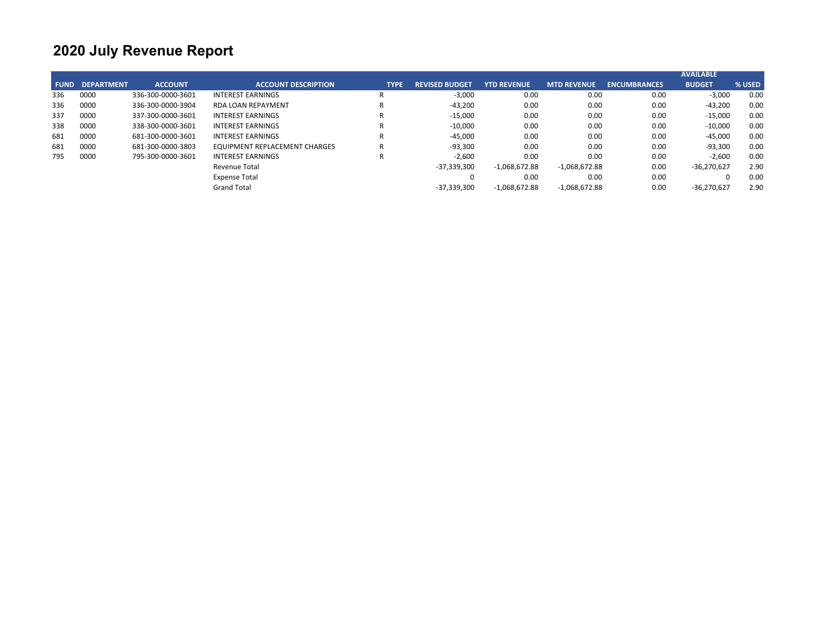|             |                   |                   |                               |             |                       |                    |                    |                     | <b>AVAILABLE</b> |        |
|-------------|-------------------|-------------------|-------------------------------|-------------|-----------------------|--------------------|--------------------|---------------------|------------------|--------|
| <b>FUND</b> | <b>DEPARTMENT</b> | <b>ACCOUNT</b>    | <b>ACCOUNT DESCRIPTION</b>    | <b>TYPE</b> | <b>REVISED BUDGET</b> | <b>YTD REVENUE</b> | <b>MTD REVENUE</b> | <b>ENCUMBRANCES</b> | <b>BUDGET</b>    | % USED |
| 336         | 0000              | 336-300-0000-3601 | <b>INTEREST EARNINGS</b>      |             | $-3,000$              | 0.00               | 0.00               | 0.00                | $-3,000$         | 0.00   |
| 336         | 0000              | 336-300-0000-3904 | <b>RDA LOAN REPAYMENT</b>     | R           | $-43,200$             | 0.00               | 0.00               | 0.00                | $-43,200$        | 0.00   |
| 337         | 0000              | 337-300-0000-3601 | <b>INTEREST EARNINGS</b>      |             | $-15,000$             | 0.00               | 0.00               | 0.00                | $-15,000$        | 0.00   |
| 338         | 0000              | 338-300-0000-3601 | <b>INTEREST EARNINGS</b>      |             | $-10,000$             | 0.00               | 0.00               | 0.00                | $-10,000$        | 0.00   |
| 681         | 0000              | 681-300-0000-3601 | <b>INTEREST EARNINGS</b>      |             | $-45,000$             | 0.00               | 0.00               | 0.00                | $-45,000$        | 0.00   |
| 681         | 0000              | 681-300-0000-3803 | EQUIPMENT REPLACEMENT CHARGES |             | $-93.300$             | 0.00               | 0.00               | 0.00                | $-93,300$        | 0.00   |
| 795         | 0000              | 795-300-0000-3601 | <b>INTEREST EARNINGS</b>      | R           | $-2,600$              | 0.00               | 0.00               | 0.00                | $-2,600$         | 0.00   |
|             |                   |                   | Revenue Total                 |             | $-37,339,300$         | $-1,068,672.88$    | $-1,068,672.88$    | 0.00                | $-36,270,627$    | 2.90   |
|             |                   |                   | <b>Expense Total</b>          |             |                       | 0.00               | 0.00               | 0.00                |                  | 0.00   |
|             |                   |                   | <b>Grand Total</b>            |             | $-37,339,300$         | $-1,068,672.88$    | $-1,068,672.88$    | 0.00                | $-36,270,627$    | 2.90   |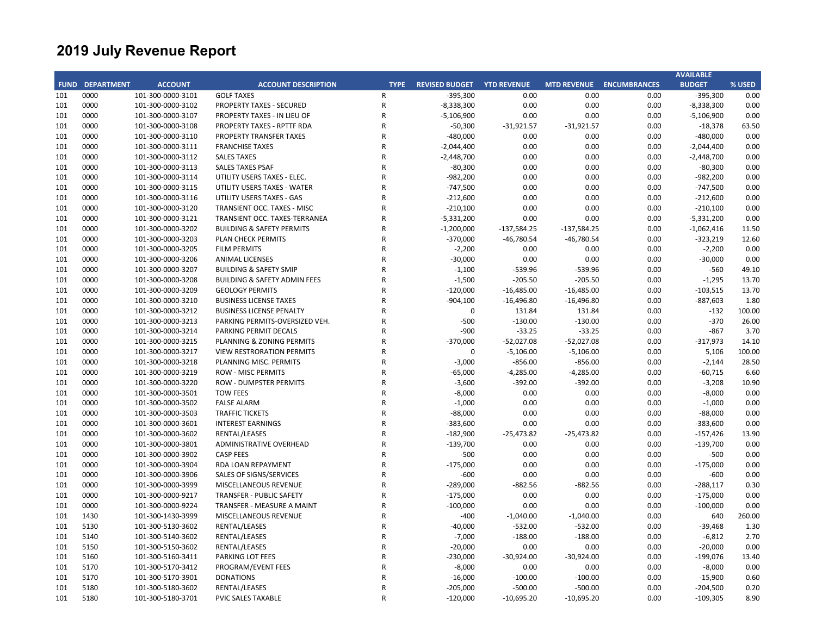|     |                        |                   |                                         |             |                       |                    |               |                                 | <b>AVAILABLE</b> |        |
|-----|------------------------|-------------------|-----------------------------------------|-------------|-----------------------|--------------------|---------------|---------------------------------|------------------|--------|
|     | <b>FUND DEPARTMENT</b> | <b>ACCOUNT</b>    | <b>ACCOUNT DESCRIPTION</b>              | <b>TYPE</b> | <b>REVISED BUDGET</b> | <b>YTD REVENUE</b> |               | <b>MTD REVENUE ENCUMBRANCES</b> | <b>BUDGET</b>    | % USED |
| 101 | 0000                   | 101-300-0000-3101 | <b>GOLF TAXES</b>                       | R           | $-395,300$            | 0.00               | 0.00          | 0.00                            | $-395,300$       | 0.00   |
| 101 | 0000                   | 101-300-0000-3102 | <b>PROPERTY TAXES - SECURED</b>         | ${\sf R}$   | $-8,338,300$          | 0.00               | 0.00          | 0.00                            | $-8,338,300$     | 0.00   |
| 101 | 0000                   | 101-300-0000-3107 | PROPERTY TAXES - IN LIEU OF             | R           | $-5,106,900$          | 0.00               | 0.00          | 0.00                            | $-5,106,900$     | 0.00   |
| 101 | 0000                   | 101-300-0000-3108 | PROPERTY TAXES - RPTTF RDA              | R           | $-50,300$             | $-31,921.57$       | $-31,921.57$  | 0.00                            | $-18,378$        | 63.50  |
| 101 | 0000                   | 101-300-0000-3110 | <b>PROPERTY TRANSFER TAXES</b>          | R           | $-480,000$            | 0.00               | 0.00          | 0.00                            | $-480,000$       | 0.00   |
| 101 | 0000                   | 101-300-0000-3111 | <b>FRANCHISE TAXES</b>                  | R           | $-2,044,400$          | 0.00               | 0.00          | 0.00                            | $-2,044,400$     | 0.00   |
| 101 | 0000                   | 101-300-0000-3112 | <b>SALES TAXES</b>                      | R           | $-2,448,700$          | 0.00               | 0.00          | 0.00                            | $-2,448,700$     | 0.00   |
| 101 | 0000                   | 101-300-0000-3113 | <b>SALES TAXES PSAF</b>                 | R           | $-80,300$             | 0.00               | 0.00          | 0.00                            | $-80,300$        | 0.00   |
| 101 | 0000                   | 101-300-0000-3114 | UTILITY USERS TAXES - ELEC.             | R           | $-982,200$            | 0.00               | 0.00          | 0.00                            | $-982,200$       | 0.00   |
| 101 | 0000                   | 101-300-0000-3115 | UTILITY USERS TAXES - WATER             | R           | $-747,500$            | 0.00               | 0.00          | 0.00                            | $-747,500$       | 0.00   |
| 101 | 0000                   | 101-300-0000-3116 | UTILITY USERS TAXES - GAS               | R           | $-212,600$            | 0.00               | 0.00          | 0.00                            | $-212,600$       | 0.00   |
| 101 | 0000                   | 101-300-0000-3120 | TRANSIENT OCC. TAXES - MISC             | R           | $-210,100$            | 0.00               | 0.00          | 0.00                            | $-210,100$       | 0.00   |
| 101 | 0000                   | 101-300-0000-3121 | TRANSIENT OCC. TAXES-TERRANEA           | R           | $-5,331,200$          | 0.00               | 0.00          | 0.00                            | $-5,331,200$     | 0.00   |
| 101 | 0000                   | 101-300-0000-3202 | <b>BUILDING &amp; SAFETY PERMITS</b>    | R           | $-1,200,000$          | $-137,584.25$      | $-137,584.25$ | 0.00                            | $-1,062,416$     | 11.50  |
| 101 | 0000                   | 101-300-0000-3203 | <b>PLAN CHECK PERMITS</b>               | R           | $-370,000$            | $-46,780.54$       | $-46,780.54$  | 0.00                            | $-323,219$       | 12.60  |
| 101 | 0000                   | 101-300-0000-3205 | <b>FILM PERMITS</b>                     | R           | $-2,200$              | 0.00               | 0.00          | 0.00                            | $-2,200$         | 0.00   |
| 101 | 0000                   | 101-300-0000-3206 | <b>ANIMAL LICENSES</b>                  | R           | $-30,000$             | 0.00               | 0.00          | 0.00                            | $-30,000$        | 0.00   |
| 101 | 0000                   | 101-300-0000-3207 | <b>BUILDING &amp; SAFETY SMIP</b>       | R           | $-1,100$              | $-539.96$          | -539.96       | 0.00                            | $-560$           | 49.10  |
| 101 | 0000                   | 101-300-0000-3208 | <b>BUILDING &amp; SAFETY ADMIN FEES</b> | R           | $-1,500$              | $-205.50$          | $-205.50$     | 0.00                            | $-1,295$         | 13.70  |
| 101 | 0000                   | 101-300-0000-3209 | <b>GEOLOGY PERMITS</b>                  | R           | $-120,000$            | $-16,485.00$       | $-16,485.00$  | 0.00                            | $-103,515$       | 13.70  |
| 101 | 0000                   | 101-300-0000-3210 | <b>BUSINESS LICENSE TAXES</b>           | R           | $-904,100$            | $-16,496.80$       | $-16,496.80$  | 0.00                            | $-887,603$       | 1.80   |
| 101 | 0000                   | 101-300-0000-3212 | <b>BUSINESS LICENSE PENALTY</b>         | R           | $\mathbf 0$           | 131.84             | 131.84        | 0.00                            | $-132$           | 100.00 |
| 101 | 0000                   | 101-300-0000-3213 | PARKING PERMITS-OVERSIZED VEH.          | R           | $-500$                | $-130.00$          | $-130.00$     | 0.00                            | $-370$           | 26.00  |
| 101 | 0000                   | 101-300-0000-3214 | <b>PARKING PERMIT DECALS</b>            | R           | $-900$                | $-33.25$           | $-33.25$      | 0.00                            | $-867$           | 3.70   |
| 101 | 0000                   | 101-300-0000-3215 | PLANNING & ZONING PERMITS               | R           | $-370,000$            | $-52,027.08$       | $-52,027.08$  | 0.00                            | $-317,973$       | 14.10  |
| 101 | 0000                   | 101-300-0000-3217 | <b>VIEW RESTRORATION PERMITS</b>        | R           | $\mathbf 0$           | $-5,106.00$        | $-5,106.00$   | 0.00                            | 5,106            | 100.00 |
| 101 | 0000                   | 101-300-0000-3218 | PLANNING MISC. PERMITS                  | R           | $-3,000$              | $-856.00$          | $-856.00$     | 0.00                            | $-2,144$         | 28.50  |
| 101 | 0000                   | 101-300-0000-3219 | <b>ROW - MISC PERMITS</b>               | R           | $-65,000$             | $-4,285.00$        | $-4,285.00$   | 0.00                            | $-60,715$        | 6.60   |
| 101 | 0000                   | 101-300-0000-3220 | <b>ROW - DUMPSTER PERMITS</b>           | R           | $-3,600$              | $-392.00$          | $-392.00$     | 0.00                            | $-3,208$         | 10.90  |
| 101 | 0000                   | 101-300-0000-3501 | <b>TOW FEES</b>                         | R           | $-8,000$              | 0.00               | 0.00          | 0.00                            | $-8,000$         | 0.00   |
| 101 | 0000                   | 101-300-0000-3502 | <b>FALSE ALARM</b>                      | R           | $-1,000$              | 0.00               | 0.00          | 0.00                            | $-1,000$         | 0.00   |
| 101 | 0000                   | 101-300-0000-3503 | <b>TRAFFIC TICKETS</b>                  | R           | $-88,000$             | 0.00               | 0.00          | 0.00                            | $-88,000$        | 0.00   |
| 101 | 0000                   | 101-300-0000-3601 | <b>INTEREST EARNINGS</b>                | R           | $-383,600$            | 0.00               | 0.00          | 0.00                            | $-383,600$       | 0.00   |
| 101 | 0000                   | 101-300-0000-3602 | RENTAL/LEASES                           | R           | $-182,900$            | $-25,473.82$       | $-25,473.82$  | 0.00                            | $-157,426$       | 13.90  |
| 101 | 0000                   | 101-300-0000-3801 | <b>ADMINISTRATIVE OVERHEAD</b>          | R           | $-139,700$            | 0.00               | 0.00          | 0.00                            | $-139,700$       | 0.00   |
| 101 | 0000                   | 101-300-0000-3902 | <b>CASP FEES</b>                        | R           | $-500$                | 0.00               | 0.00          | 0.00                            | $-500$           | 0.00   |
| 101 | 0000                   | 101-300-0000-3904 | RDA LOAN REPAYMENT                      | R           | $-175,000$            | 0.00               | 0.00          | 0.00                            | $-175,000$       | 0.00   |
| 101 | 0000                   | 101-300-0000-3906 | SALES OF SIGNS/SERVICES                 | R           | $-600$                | 0.00               | 0.00          | 0.00                            | $-600$           | 0.00   |
| 101 | 0000                   | 101-300-0000-3999 | <b>MISCELLANEOUS REVENUE</b>            | R           | $-289,000$            | $-882.56$          | $-882.56$     | 0.00                            | $-288,117$       | 0.30   |
| 101 | 0000                   | 101-300-0000-9217 | <b>TRANSFER - PUBLIC SAFETY</b>         | R           | $-175,000$            | 0.00               | 0.00          | 0.00                            | $-175,000$       | 0.00   |
| 101 | 0000                   | 101-300-0000-9224 | TRANSFER - MEASURE A MAINT              | R           |                       | 0.00               | 0.00          | 0.00                            | $-100,000$       | 0.00   |
| 101 | 1430                   |                   | MISCELLANEOUS REVENUE                   | R           | $-100,000$<br>$-400$  |                    |               |                                 | 640              | 260.00 |
| 101 |                        | 101-300-1430-3999 |                                         | R           |                       | $-1,040.00$        | $-1,040.00$   | 0.00                            |                  |        |
|     | 5130                   | 101-300-5130-3602 | RENTAL/LEASES                           | R           | $-40,000$             | $-532.00$          | $-532.00$     | 0.00                            | $-39,468$        | 1.30   |
| 101 | 5140                   | 101-300-5140-3602 | RENTAL/LEASES                           |             | $-7,000$              | $-188.00$          | $-188.00$     | 0.00                            | $-6,812$         | 2.70   |
| 101 | 5150                   | 101-300-5150-3602 | RENTAL/LEASES                           | R           | $-20,000$             | 0.00               | 0.00          | 0.00                            | $-20,000$        | 0.00   |
| 101 | 5160                   | 101-300-5160-3411 | PARKING LOT FEES                        | R<br>R      | $-230,000$            | $-30,924.00$       | $-30,924.00$  | 0.00                            | $-199,076$       | 13.40  |
| 101 | 5170                   | 101-300-5170-3412 | PROGRAM/EVENT FEES                      |             | $-8,000$              | 0.00               | 0.00          | 0.00                            | $-8,000$         | 0.00   |
| 101 | 5170                   | 101-300-5170-3901 | <b>DONATIONS</b>                        | R           | $-16,000$             | $-100.00$          | $-100.00$     | 0.00                            | $-15,900$        | 0.60   |
| 101 | 5180                   | 101-300-5180-3602 | RENTAL/LEASES                           | R           | $-205,000$            | $-500.00$          | $-500.00$     | 0.00                            | $-204,500$       | 0.20   |
| 101 | 5180                   | 101-300-5180-3701 | PVIC SALES TAXABLE                      | R           | $-120,000$            | $-10,695.20$       | $-10,695.20$  | 0.00                            | $-109,305$       | 8.90   |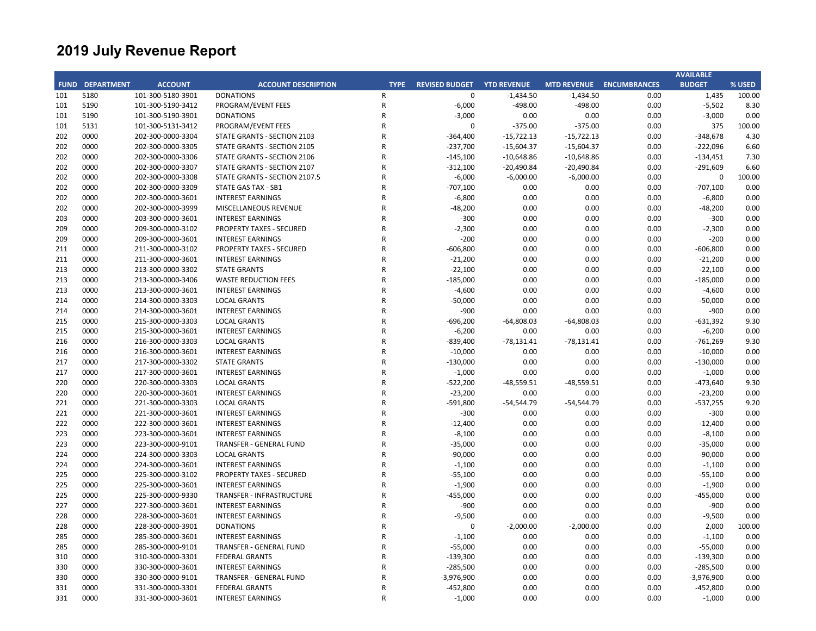|     |                        |                   |                                 |             |                       |                    |              |                                 | <b>AVAILABLE</b> |        |
|-----|------------------------|-------------------|---------------------------------|-------------|-----------------------|--------------------|--------------|---------------------------------|------------------|--------|
|     | <b>FUND DEPARTMENT</b> | <b>ACCOUNT</b>    | <b>ACCOUNT DESCRIPTION</b>      | <b>TYPE</b> | <b>REVISED BUDGET</b> | <b>YTD REVENUE</b> |              | <b>MTD REVENUE ENCUMBRANCES</b> | <b>BUDGET</b>    | % USED |
| 101 | 5180                   | 101-300-5180-3901 | <b>DONATIONS</b>                | R           | $\mathbf 0$           | $-1,434.50$        | $-1,434.50$  | 0.00                            | 1,435            | 100.00 |
| 101 | 5190                   | 101-300-5190-3412 | PROGRAM/EVENT FEES              | ${\sf R}$   | $-6,000$              | $-498.00$          | $-498.00$    | 0.00                            | $-5,502$         | 8.30   |
| 101 | 5190                   | 101-300-5190-3901 | <b>DONATIONS</b>                | R           | $-3,000$              | 0.00               | 0.00         | 0.00                            | $-3,000$         | 0.00   |
| 101 | 5131                   | 101-300-5131-3412 | PROGRAM/EVENT FEES              | R           | $\mathbf 0$           | $-375.00$          | $-375.00$    | 0.00                            | 375              | 100.00 |
| 202 | 0000                   | 202-300-0000-3304 | STATE GRANTS - SECTION 2103     | R           | $-364,400$            | $-15,722.13$       | $-15,722.13$ | 0.00                            | $-348,678$       | 4.30   |
| 202 | 0000                   | 202-300-0000-3305 | STATE GRANTS - SECTION 2105     | R           | $-237,700$            | $-15,604.37$       | $-15,604.37$ | 0.00                            | $-222,096$       | 6.60   |
| 202 | 0000                   | 202-300-0000-3306 | STATE GRANTS - SECTION 2106     | R           | $-145,100$            | $-10,648.86$       | $-10,648.86$ | 0.00                            | $-134,451$       | 7.30   |
| 202 | 0000                   | 202-300-0000-3307 | STATE GRANTS - SECTION 2107     | R           | $-312,100$            | $-20,490.84$       | $-20,490.84$ | 0.00                            | $-291,609$       | 6.60   |
| 202 | 0000                   | 202-300-0000-3308 | STATE GRANTS - SECTION 2107.5   | R           | $-6,000$              | $-6,000.00$        | $-6,000.00$  | 0.00                            | $\mathbf 0$      | 100.00 |
| 202 | 0000                   | 202-300-0000-3309 | <b>STATE GAS TAX - SB1</b>      | R           | $-707,100$            | 0.00               | 0.00         | 0.00                            | $-707,100$       | 0.00   |
| 202 | 0000                   | 202-300-0000-3601 | <b>INTEREST EARNINGS</b>        | R           | $-6,800$              | 0.00               | 0.00         | 0.00                            | $-6,800$         | 0.00   |
| 202 | 0000                   | 202-300-0000-3999 | MISCELLANEOUS REVENUE           | R           | $-48,200$             | 0.00               | 0.00         | 0.00                            | $-48,200$        | 0.00   |
| 203 | 0000                   | 203-300-0000-3601 | <b>INTEREST EARNINGS</b>        | R           | $-300$                | 0.00               | 0.00         | 0.00                            | $-300$           | 0.00   |
| 209 | 0000                   | 209-300-0000-3102 | <b>PROPERTY TAXES - SECURED</b> | R           | $-2,300$              | 0.00               | 0.00         | 0.00                            | $-2,300$         | 0.00   |
| 209 | 0000                   | 209-300-0000-3601 | <b>INTEREST EARNINGS</b>        | R           | $-200$                | 0.00               | 0.00         | 0.00                            | $-200$           | 0.00   |
| 211 | 0000                   | 211-300-0000-3102 | <b>PROPERTY TAXES - SECURED</b> | R           | $-606,800$            | 0.00               | 0.00         | 0.00                            | $-606,800$       | 0.00   |
| 211 | 0000                   | 211-300-0000-3601 | <b>INTEREST EARNINGS</b>        | R           | $-21,200$             | 0.00               | 0.00         | 0.00                            | $-21,200$        | 0.00   |
| 213 | 0000                   | 213-300-0000-3302 | <b>STATE GRANTS</b>             | R           | $-22,100$             | 0.00               | 0.00         | 0.00                            | $-22,100$        | 0.00   |
| 213 | 0000                   | 213-300-0000-3406 | <b>WASTE REDUCTION FEES</b>     | R           | $-185,000$            | 0.00               | 0.00         | 0.00                            | $-185,000$       | 0.00   |
| 213 | 0000                   | 213-300-0000-3601 | <b>INTEREST EARNINGS</b>        | R           | $-4,600$              | 0.00               | 0.00         | 0.00                            | $-4,600$         | 0.00   |
| 214 | 0000                   | 214-300-0000-3303 | <b>LOCAL GRANTS</b>             | R           | $-50,000$             | 0.00               | 0.00         | 0.00                            | $-50,000$        | 0.00   |
| 214 | 0000                   | 214-300-0000-3601 | <b>INTEREST EARNINGS</b>        | R           | $-900$                | 0.00               | 0.00         | 0.00                            | $-900$           | 0.00   |
| 215 | 0000                   | 215-300-0000-3303 | <b>LOCAL GRANTS</b>             | R           | $-696,200$            | $-64,808.03$       | $-64,808.03$ | 0.00                            | $-631,392$       | 9.30   |
| 215 | 0000                   | 215-300-0000-3601 | <b>INTEREST EARNINGS</b>        | R           | $-6,200$              | 0.00               | 0.00         | 0.00                            | $-6,200$         | 0.00   |
| 216 | 0000                   | 216-300-0000-3303 | <b>LOCAL GRANTS</b>             | R           | $-839,400$            | $-78,131.41$       | $-78,131.41$ | 0.00                            | $-761,269$       | 9.30   |
| 216 | 0000                   | 216-300-0000-3601 | <b>INTEREST EARNINGS</b>        | R           | $-10,000$             | 0.00               | 0.00         | 0.00                            | $-10,000$        | 0.00   |
| 217 | 0000                   | 217-300-0000-3302 | <b>STATE GRANTS</b>             | R           | $-130,000$            | 0.00               | 0.00         | 0.00                            | $-130,000$       | 0.00   |
| 217 | 0000                   | 217-300-0000-3601 | <b>INTEREST EARNINGS</b>        | R           | $-1,000$              | 0.00               | 0.00         | 0.00                            | $-1,000$         | 0.00   |
| 220 | 0000                   | 220-300-0000-3303 | <b>LOCAL GRANTS</b>             | R           | $-522,200$            | $-48,559.51$       | $-48,559.51$ | 0.00                            | -473,640         | 9.30   |
| 220 | 0000                   | 220-300-0000-3601 | <b>INTEREST EARNINGS</b>        | R           | $-23,200$             | 0.00               | 0.00         | 0.00                            | $-23,200$        | 0.00   |
| 221 | 0000                   | 221-300-0000-3303 | <b>LOCAL GRANTS</b>             | R           | $-591,800$            | $-54,544.79$       | $-54,544.79$ | 0.00                            | $-537,255$       | 9.20   |
| 221 | 0000                   | 221-300-0000-3601 | <b>INTEREST EARNINGS</b>        | R           | $-300$                | 0.00               | 0.00         | 0.00                            | $-300$           | 0.00   |
| 222 | 0000                   | 222-300-0000-3601 | <b>INTEREST EARNINGS</b>        | R           | $-12,400$             | 0.00               | 0.00         | 0.00                            | $-12,400$        | 0.00   |
| 223 | 0000                   | 223-300-0000-3601 | <b>INTEREST EARNINGS</b>        | R           | $-8,100$              | 0.00               | 0.00         | 0.00                            | $-8,100$         | 0.00   |
| 223 | 0000                   | 223-300-0000-9101 | <b>TRANSFER - GENERAL FUND</b>  | R           | $-35,000$             | 0.00               | 0.00         | 0.00                            | $-35,000$        | 0.00   |
| 224 | 0000                   | 224-300-0000-3303 | <b>LOCAL GRANTS</b>             | R           | $-90,000$             | 0.00               | 0.00         | 0.00                            | $-90,000$        | 0.00   |
| 224 | 0000                   | 224-300-0000-3601 | <b>INTEREST EARNINGS</b>        | R           | $-1,100$              | 0.00               | 0.00         | 0.00                            | $-1,100$         | 0.00   |
| 225 | 0000                   | 225-300-0000-3102 | <b>PROPERTY TAXES - SECURED</b> | R           | $-55,100$             | 0.00               | 0.00         | 0.00                            | $-55,100$        | 0.00   |
| 225 | 0000                   | 225-300-0000-3601 | <b>INTEREST EARNINGS</b>        | R           | $-1,900$              | 0.00               | 0.00         | 0.00                            | $-1,900$         | 0.00   |
| 225 | 0000                   | 225-300-0000-9330 | TRANSFER - INFRASTRUCTURE       | R           | $-455,000$            | 0.00               | 0.00         | 0.00                            | $-455,000$       | 0.00   |
| 227 | 0000                   | 227-300-0000-3601 | <b>INTEREST EARNINGS</b>        | R           | $-900$                | 0.00               | 0.00         | 0.00                            | $-900$           | 0.00   |
| 228 | 0000                   | 228-300-0000-3601 | <b>INTEREST EARNINGS</b>        | R           | -9,500                | 0.00               | 0.00         | 0.00                            | $-9,500$         | 0.00   |
| 228 | 0000                   | 228-300-0000-3901 | <b>DONATIONS</b>                | R           | $\mathbf 0$           | $-2,000.00$        | $-2,000.00$  | 0.00                            | 2,000            | 100.00 |
| 285 | 0000                   | 285-300-0000-3601 | <b>INTEREST EARNINGS</b>        | R           | $-1,100$              | 0.00               | 0.00         | 0.00                            | $-1,100$         | 0.00   |
| 285 | 0000                   | 285-300-0000-9101 | TRANSFER - GENERAL FUND         | R           | $-55,000$             | 0.00               | 0.00         | 0.00                            | $-55,000$        | 0.00   |
| 310 | 0000                   | 310-300-0000-3301 | <b>FEDERAL GRANTS</b>           | R           | $-139,300$            | 0.00               | 0.00         | 0.00                            | $-139,300$       | 0.00   |
| 330 | 0000                   | 330-300-0000-3601 | <b>INTEREST EARNINGS</b>        | R           | $-285,500$            | 0.00               | 0.00         | 0.00                            | $-285,500$       | 0.00   |
| 330 | 0000                   | 330-300-0000-9101 | <b>TRANSFER - GENERAL FUND</b>  | R           | $-3,976,900$          | 0.00               | 0.00         | 0.00                            | $-3,976,900$     | 0.00   |
| 331 | 0000                   | 331-300-0000-3301 | <b>FEDERAL GRANTS</b>           | R           | $-452,800$            | 0.00               | 0.00         | 0.00                            | $-452,800$       | 0.00   |
| 331 | 0000                   | 331-300-0000-3601 | <b>INTEREST EARNINGS</b>        | R           | $-1,000$              | 0.00               | 0.00         | 0.00                            | $-1,000$         | 0.00   |